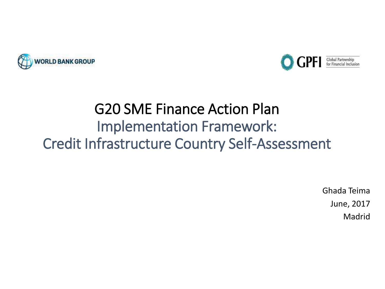



# G20 SME Finance Action Plan Implementation Framework: Credit Infrastructure Country Self-Assessment

Ghada Teima June, 2017 Madrid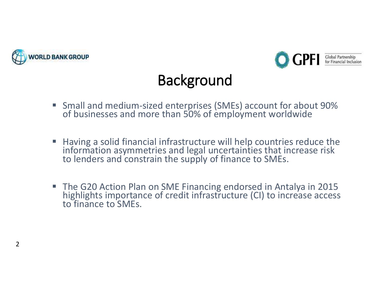



# **Background**

- Small and medium-sized enterprises (SMEs) account for about 90% of businesses and more than 50% of employment worldwide
- Having a solid financial infrastructure will help countries reduce the information asymmetries and legal uncertainties that increase risk to lenders and constrain the supply of finance to SMEs.
- The G20 Action Plan on SME Financing endorsed in Antalya in 2015 highlights importance of credit infrastructure (CI) to increase access to finance to SMEs.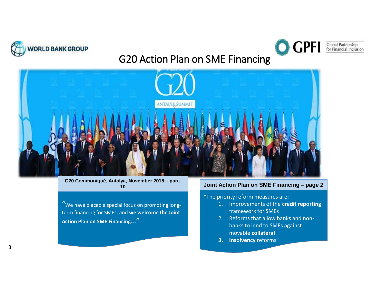



### Global Partnership<br>for Financial Inclusion

### G20 Action Plan on SME Financing



**G20 Communiqué, Antalya, November 2015 – para. 10**

"We have placed a special focus on promoting longterm financing for SMEs, and **we welcome the Joint Action Plan on SME Financing**..."

#### **Joint Action Plan on SME Financing – page 2**

#### "The priority reform measures are:

- 1. Improvements of the **credit reporting**  framework for SMEs
- 2. Reforms that allow banks and nonbanks to lend to SMEs against movable **collateral**
- **3. Insolvency** reforms"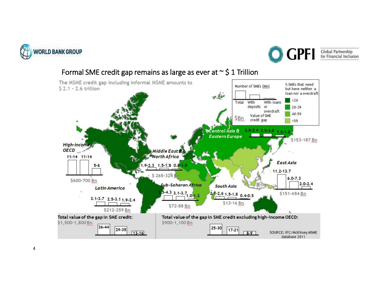



### Formal SME credit gap remains as large as ever at  $\sim$  \$ 1 Trillion

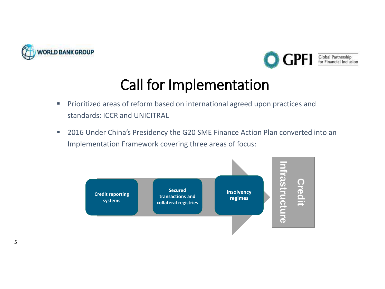



## Call for Implementation

- **·** Prioritized areas of reform based on international agreed upon practices and standards: ICCR and UNICITRAL
- 2016 Under China's Presidency the G20 SME Finance Action Plan converted into an Implementation Framework covering three areas of focus:

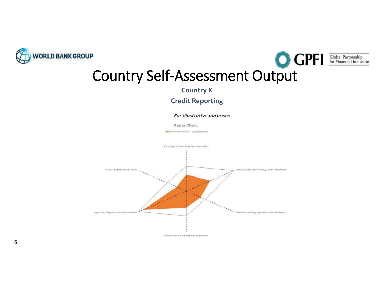



**COUNTY Self-Assessment Output** 

**Country X**

### **Credit Reporting**

For illustrative purposes

Radar Chart:

Dimension Score D Maximum



6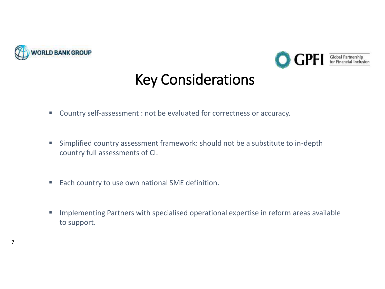

7



### Key Considerations

- Country self-assessment : not be evaluated for correctness or accuracy.
- Simplified country assessment framework: should not be a substitute to in-depth country full assessments of CI.
- Each country to use own national SME definition.
- **Implementing Partners with specialised operational expertise in reform areas available** to support.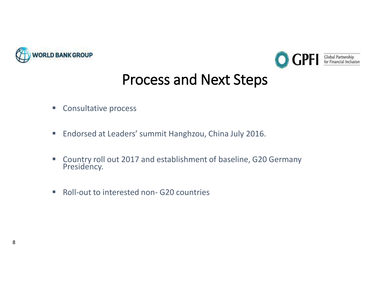



## Process and Next Steps

- Consultative process
- Endorsed at Leaders' summit Hanghzou, China July 2016.
- Country roll out 2017 and establishment of baseline, G20 Germany Presidency.
- Roll-out to interested non- G20 countries